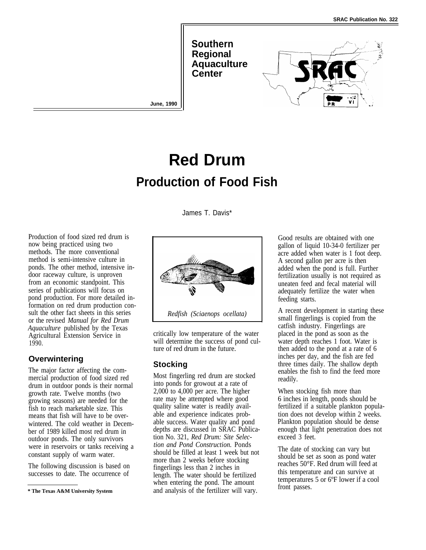**Southern Regional Aquaculture Center**



# **Red Drum Production of Food Fish**

**June, 1990**

James T. Davis\*

Production of food sized red drum is now being practiced using two methods. The more conventional method is semi-intensive culture in ponds. The other method, intensive indoor raceway culture, is unproven from an economic standpoint. This series of publications will focus on pond production. For more detailed information on red drum production consult the other fact sheets in this series or the revised *Manual for Red Drum Aquaculture* published by the Texas Agricultural Extension Service in 1990.

#### **Overwintering**

The major factor affecting the commercial production of food sized red drum in outdoor ponds is their normal growth rate. Twelve months (two growing seasons) are needed for the fish to reach marketable size. This means that fish will have to be overwintered. The cold weather in December of 1989 killed most red drum in outdoor ponds. The only survivors were in reservoirs or tanks receiving a constant supply of warm water.

The following discussion is based on successes to date. The occurrence of



critically low temperature of the water will determine the success of pond culture of red drum in the future.

## **Stocking**

Most fingerling red drum are stocked into ponds for growout at a rate of 2,000 to 4,000 per acre. The higher rate may be attempted where good quality saline water is readily available and experience indicates probable success. Water quality and pond depths are discussed in SRAC Publication No. 321, *Red Drum: Site Selection and Pond Construction.* Ponds should be filled at least 1 week but not more than 2 weeks before stocking fingerlings less than 2 inches in length. The water should be fertilized when entering the pond. The amount and analysis of the fertilizer will vary.

Good results are obtained with one gallon of liquid 10-34-0 fertilizer per acre added when water is 1 foot deep. A second gallon per acre is then added when the pond is full. Further fertilization usually is not required as uneaten feed and fecal material will adequately fertilize the water when feeding starts.

A recent development in starting these small fingerlings is copied from the catfish industry. Fingerlings are placed in the pond as soon as the water depth reaches 1 foot. Water is then added to the pond at a rate of 6 inches per day, and the fish are fed three times daily. The shallow depth enables the fish to find the feed more readily.

When stocking fish more than 6 inches in length, ponds should be fertilized if a suitable plankton population does not develop within 2 weeks. Plankton population should be dense enough that light penetration does not exceed 3 feet.

The date of stocking can vary but should be set as soon as pond water reaches 50°F. Red drum will feed at this temperature and can survive at temperatures 5 or 6ºF lower if a cool front passes.

**<sup>\*</sup> The Texas A&M University System**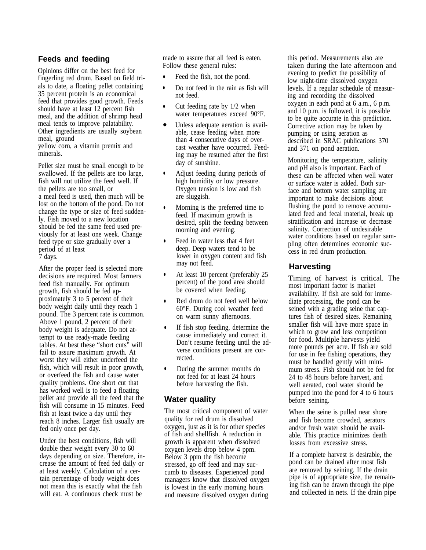### **Feeds and feeding**

Opinions differ on the best feed for fingerling red drum. Based on field trials to date, a floating pellet containing 35 percent protein is an economical feed that provides good growth. Feeds should have at least 12 percent fish meal, and the addition of shrimp head meal tends to improve palatability. Other ingredients are usually soybean meal, ground yellow corn, a vitamin premix and minerals.

Pellet size must be small enough to be swallowed. If the pellets are too large, fish will not utilize the feed well. If the pellets are too small, or a meal feed is used, then much will be lost on the bottom of the pond. Do not change the type or size of feed suddenly. Fish moved to a new location should be fed the same feed used previously for at least one week. Change feed type or size gradually over a period of at least 7 days.

After the proper feed is selected more decisions are required. Most farmers feed fish manually. For optimum growth, fish should be fed approximately 3 to 5 percent of their body weight daily until they reach 1 pound. The 3 percent rate is common. Above 1 pound, 2 percent of their body weight is adequate. Do not attempt to use ready-made feeding tables. At best these "short cuts" will fail to assure maximum growth. At worst they will either underfeed the fish, which will result in poor growth, or overfeed the fish and cause water quality problems. One short cut that has worked well is to feed a floating pellet and provide all the feed that the fish will consume in 15 minutes. Feed fish at least twice a day until they reach 8 inches. Larger fish usually are fed only once per day.

Under the best conditions, fish will double their weight every 30 to 60 days depending on size. Therefore, increase the amount of feed fed daily or at least weekly. Calculation of a certain percentage of body weight does not mean this is exactly what the fish will eat. A continuous check must be

made to assure that all feed is eaten. Follow these general rules:

- Feed the fish, not the pond.
- $\bullet$ Do not feed in the rain as fish will not feed.
- $\bullet$ Cut feeding rate by 1/2 when water temperatures exceed 90°F.
- Unless adequate aeration is available, cease feeding when more than 4 consecutive days of overcast weather have occurred. Feeding may be resumed after the first day of sunshine.
- Adjust feeding during periods of high humidity or low pressure. Oxygen tension is low and fish are sluggish.
- Morning is the preferred time to feed. If maximum growth is desired, split the feeding between morning and evening.
- Feed in water less that 4 feet deep. Deep waters tend to be lower in oxygen content and fish may not feed.
- At least 10 percent (preferably 25 percent) of the pond area should be covered when feeding.
- Red drum do not feed well below 60°F. During cool weather feed on warm sunny afternoons.
- If fish stop feeding, determine the cause immediately and correct it. Don't resume feeding until the adverse conditions present are corrected.
- During the summer months do not feed for at least 24 hours before harvesting the fish.

#### **Water quality**

The most critical component of water quality for red drum is dissolved oxygen, just as it is for other species of fish and shellfish. A reduction in growth is apparent when dissolved oxygen levels drop below 4 ppm. Below 3 ppm the fish become stressed, go off feed and may succumb to diseases. Experienced pond managers know that dissolved oxygen is lowest in the early morning hours and measure dissolved oxygen during

this period. Measurements also are taken during the late afternoon and evening to predict the possibility of low night-time dissolved oxygen levels. If a regular schedule of measuring and recording the dissolved oxygen in each pond at 6 a.m., 6 p.m. and 10 p.m. is followed, it is possible to be quite accurate in this prediction. Corrective action may be taken by pumping or using aeration as described in SRAC publications 370 and 371 on pond aeration.

Monitoring the temperature, salinity and pH also is important. Each of these can be affected when well water or surface water is added. Both surface and bottom water sampling are important to make decisions about flushing the pond to remove accumulated feed and fecal material, break up stratification and increase or decrease salinity. Correction of undesirable water conditions based on regular sampling often determines economic success in red drum production.

#### **Harvesting**

Timing of harvest is critical. The most important factor is market availability. If fish are sold for immediate processing, the pond can be seined with a grading seine that captures fish of desired sizes. Remaining smaller fish will have more space in which to grow and less competition for food. Multiple harvests yield more pounds per acre. If fish are sold for use in fee fishing operations, they must be handled gently with minimum stress. Fish should not be fed for 24 to 48 hours before harvest, and well aerated, cool water should be pumped into the pond for 4 to 6 hours before seining.

When the seine is pulled near shore and fish become crowded, aerators and/or fresh water should be available. This practice minimizes death losses from excessive stress.

If a complete harvest is desirable, the pond can be drained after most fish are removed by seining. If the drain pipe is of appropriate size, the remaining fish can be drawn through the pipe and collected in nets. If the drain pipe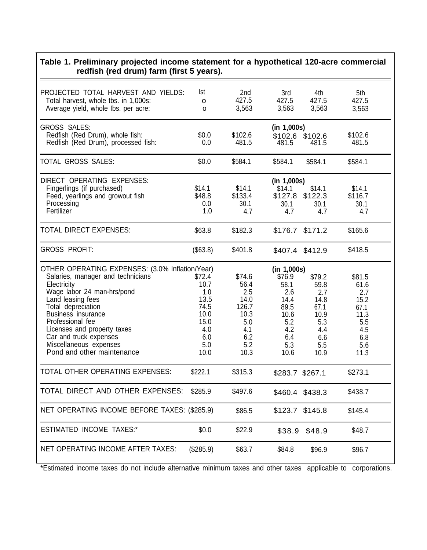#### **Table 1. Preliminary projected income statement for a hypothetical 120-acre commercial redfish (red drum) farm (first 5 years).** PROJECTED TOTAL HARVEST AND YIELDS: lst and 3rd 4th 5th 5th 5th 5th 3rd 4th 5th 5th 5th 5th 5th 5th 5th 5th 5th Total harvest, whole tbs. in 1,000s:  $\begin{array}{cccc} 1,000s: & 0 & 427.5 & 427.5 & 427.5 \\ 0 & 0 & 3.563 & 3.563 & 3.563 \end{array}$  1.563 Average yield, whole lbs. per acre:  $\qquad \qquad$  0  $\qquad \qquad$  3,563  $\qquad$  3,563  $\qquad$  3,563 3,563 GROSS SALES: **(in 1,000s)** Redfish (Red Drum), whole fish: \$0.0 \$102.6 \$102.6 \$102.6 \$102.6 Redfish (Red Drum), processed fish: TOTAL GROSS SALES: \$0.0 \$584.1 \$584.1 \$584.1 \$584.1 DIRECT OPERATING EXPENSES: **(in 1,000s)** Fingerlings (if purchased) \$14.1 \$14.1 \$14.1 \$14.1 \$14.1 Feed, yearlings and growout fish  $$48.8$   $$133.4$   $$127.8$   $$122.3$   $$116.7$ <br>Processing 30.1 30.1 30.1 30.1 Processing 0.0 30.1 30.1 30.1 30.1 Fertilizer 1.0 4.7 4.7 4.7 4.7 TOTAL DIRECT EXPENSES:  $$63.8$  \$182.3 \$176.7 \$171.2 \$165.6 GROSS PROFIT: (\$63.8) \$401.8 \$407.4 \$412.9 \$418.5 OTHER OPERATING EXPENSES: (3.0% Inflation/Year) Salaries, manager and technicians **\$72.4** Electricity 10.7 Wage labor 24 man-hrs/pond 1.0<br>Land leasing fees 13.5 Land leasing fees Total depreciation 74.5 Business insurance 10.0<br>Professional fee 15.0 Professional fee Licenses and property taxes 4.0 Car and truck expenses 6.0 Miscellaneous expenses 6.0 Pond and other maintenance 10.0 \$74.6 56.4 2.5 14.0 126.7 10.3 5.0 4.1 6.2 5.2 10.3 **(in 1,000s)** \$76.9 58.1 2.6 14.4 89.5 10.6 5.2 4.2 6.4 5.3 10.6 \$79.2 59.8 2.7 14.8 67.1 10.9 5.3 4.4 6.6 5.5 10.9 \$81.5 61.6 2.7 15.2 67.1 11.3 5.5 4.5 6.8 5.6 11.3 TOTAL OTHER OPERATING EXPENSES: \$222.1 \$315.3 \$283.7 \$267.1 \$273.1 TOTAL DIRECT AND OTHER EXPENSES: \$285.9 \$497.6 \$460.4 \$438.3 \$438.7 NET OPERATING INCOME BEFORE TAXES: (\$285.9) \$86.5 \$123.7 \$145.8 \$145.4 ESTIMATED INCOME TAXES:\*  $$0.0$  \$22.9 \$38.9 \$48.9 \$48.7 NET OPERATING INCOME AFTER TAXES: (\$285.9) \$63.7 \$84.8 \$96.9 \$96.7

\*Estimated income taxes do not include alternative minimum taxes and other taxes applicable to corporations.